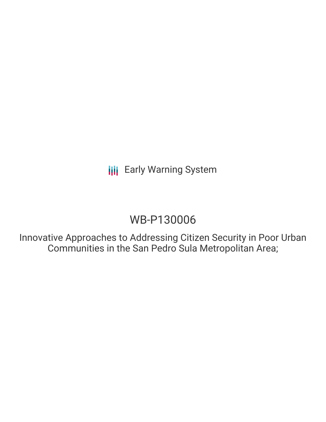**III** Early Warning System

# WB-P130006

Innovative Approaches to Addressing Citizen Security in Poor Urban Communities in the San Pedro Sula Metropolitan Area;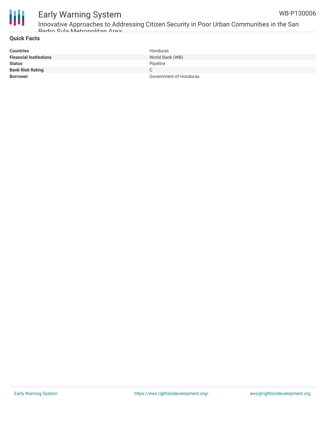

# Early Warning System

Innovative Approaches to Addressing Citizen Security in Poor Urban Communities in the San Pedro Sula Metropolitan Area;

## **Quick Facts**

| <b>Countries</b>              | Honduras               |
|-------------------------------|------------------------|
| <b>Financial Institutions</b> | World Bank (WB)        |
| <b>Status</b>                 | Pipeline               |
| <b>Bank Risk Rating</b>       | С                      |
| <b>Borrower</b>               | Government of Honduras |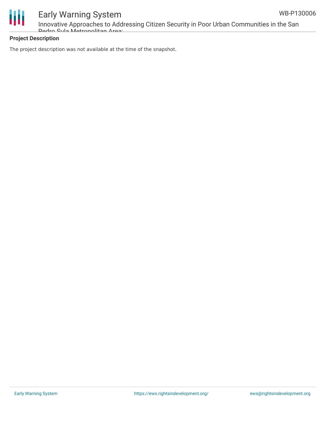



# Early Warning System

Innovative Approaches to Addressing Citizen Security in Poor Urban Communities in the San Pedro Sula Metropolitan Area;

# **Project Description**

The project description was not available at the time of the snapshot.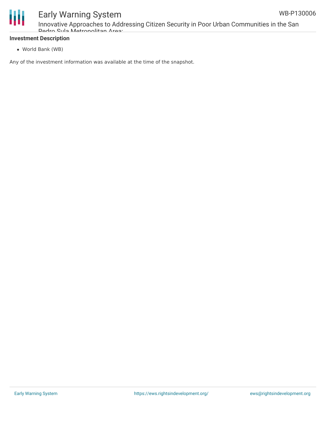

# Early Warning System

Innovative Approaches to Addressing Citizen Security in Poor Urban Communities in the San Pedro Sula Metropolitan Area;

# **Investment Description**

World Bank (WB)

Any of the investment information was available at the time of the snapshot.